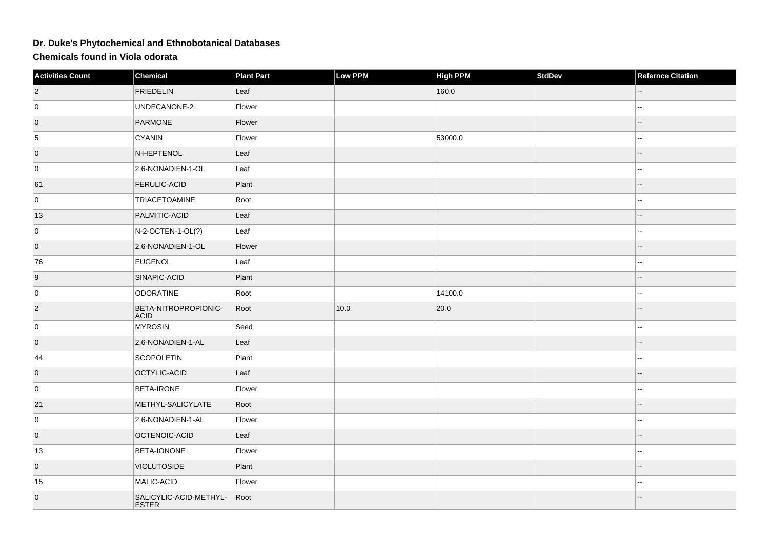## **Dr. Duke's Phytochemical and Ethnobotanical Databases**

**Chemicals found in Viola odorata**

| <b>Activities Count</b> | Chemical                               | <b>Plant Part</b> | Low PPM | <b>High PPM</b> | <b>StdDev</b> | <b>Refernce Citation</b> |
|-------------------------|----------------------------------------|-------------------|---------|-----------------|---------------|--------------------------|
| $ 2\rangle$             | <b>FRIEDELIN</b>                       | Leaf              |         | 160.0           |               |                          |
| 0                       | UNDECANONE-2                           | Flower            |         |                 |               | 44                       |
| $\overline{0}$          | PARMONE                                | Flower            |         |                 |               |                          |
| 5                       | CYANIN                                 | Flower            |         | 53000.0         |               |                          |
| $\overline{0}$          | N-HEPTENOL                             | Leaf              |         |                 |               |                          |
| 0                       | 2,6-NONADIEN-1-OL                      | Leaf              |         |                 |               | 44                       |
| 61                      | <b>FERULIC-ACID</b>                    | Plant             |         |                 |               | --                       |
| 0                       | TRIACETOAMINE                          | Root              |         |                 |               | $-1$                     |
| 13                      | PALMITIC-ACID                          | Leaf              |         |                 |               | --                       |
| 0                       | N-2-OCTEN-1-OL(?)                      | Leaf              |         |                 |               | $\overline{\phantom{a}}$ |
| $\overline{0}$          | 2,6-NONADIEN-1-OL                      | Flower            |         |                 |               |                          |
| 76                      | <b>EUGENOL</b>                         | Leaf              |         |                 |               | шш.                      |
| 9                       | SINAPIC-ACID                           | Plant             |         |                 |               | $\overline{a}$           |
| 0                       | ODORATINE                              | Root              |         | 14100.0         |               | 44                       |
| $ 2\rangle$             | BETA-NITROPROPIONIC-<br><b>ACID</b>    | Root              | 10.0    | 20.0            |               | $\overline{\phantom{a}}$ |
| 0                       | MYROSIN                                | Seed              |         |                 |               | $\overline{\phantom{a}}$ |
| $\overline{0}$          | 2,6-NONADIEN-1-AL                      | Leaf              |         |                 |               | $\overline{a}$           |
| 44                      | SCOPOLETIN                             | Plant             |         |                 |               | $\overline{a}$           |
| $\overline{0}$          | OCTYLIC-ACID                           | Leaf              |         |                 |               | $\overline{\phantom{a}}$ |
| 0                       | <b>BETA-IRONE</b>                      | Flower            |         |                 |               | ۵.                       |
| 21                      | METHYL-SALICYLATE                      | Root              |         |                 |               | ۵.                       |
| 0                       | 2,6-NONADIEN-1-AL                      | Flower            |         |                 |               | $\overline{a}$           |
| $\overline{0}$          | OCTENOIC-ACID                          | Leaf              |         |                 |               |                          |
| 13                      | <b>BETA-IONONE</b>                     | Flower            |         |                 |               | $\overline{\phantom{a}}$ |
| $\overline{0}$          | <b>VIOLUTOSIDE</b>                     | Plant             |         |                 |               |                          |
| 15                      | MALIC-ACID                             | Flower            |         |                 |               | $\overline{a}$           |
| $\overline{0}$          | SALICYLIC-ACID-METHYL-<br><b>ESTER</b> | Root              |         |                 |               |                          |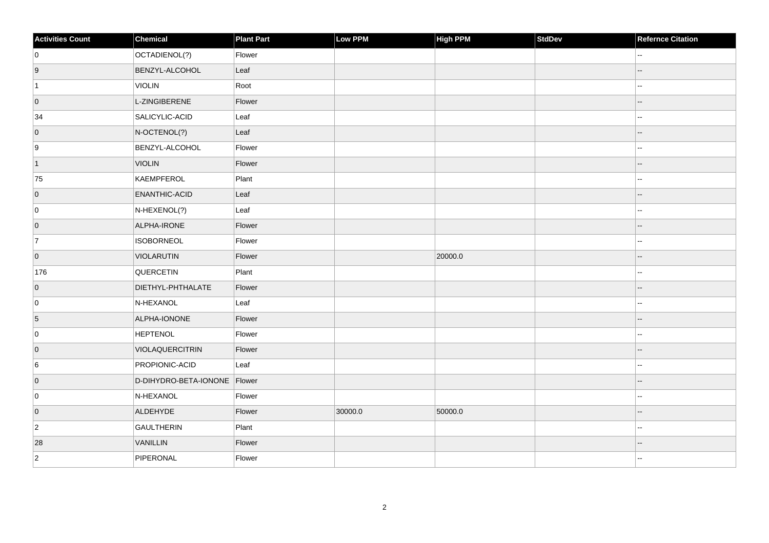| <b>Activities Count</b> | Chemical                     | <b>Plant Part</b> | Low PPM | High PPM | StdDev | <b>Refernce Citation</b> |
|-------------------------|------------------------------|-------------------|---------|----------|--------|--------------------------|
| 0                       | OCTADIENOL(?)                | Flower            |         |          |        | --                       |
| 9                       | <b>BENZYL-ALCOHOL</b>        | Leaf              |         |          |        | $-$                      |
| $\vert$ 1               | <b>VIOLIN</b>                | Root              |         |          |        |                          |
| $\overline{0}$          | L-ZINGIBERENE                | Flower            |         |          |        | --                       |
| 34                      | SALICYLIC-ACID               | Leaf              |         |          |        | ۵۵                       |
| $\overline{0}$          | N-OCTENOL(?)                 | Leaf              |         |          |        |                          |
| 9                       | BENZYL-ALCOHOL               | Flower            |         |          |        | $\overline{a}$           |
| $\vert$ 1               | <b>VIOLIN</b>                | Flower            |         |          |        | $-$                      |
| 75                      | KAEMPFEROL                   | Plant             |         |          |        | --                       |
| $\overline{0}$          | <b>ENANTHIC-ACID</b>         | Leaf              |         |          |        | --                       |
| 0                       | $N$ -HEXENOL(?)              | Leaf              |         |          |        |                          |
| $\overline{0}$          | ALPHA-IRONE                  | Flower            |         |          |        |                          |
| 7                       | <b>ISOBORNEOL</b>            | Flower            |         |          |        | --                       |
| $\overline{0}$          | VIOLARUTIN                   | Flower            |         | 20000.0  |        |                          |
| 176                     | QUERCETIN                    | Plant             |         |          |        | Ξ.                       |
| $\overline{0}$          | DIETHYL-PHTHALATE            | Flower            |         |          |        | --                       |
| 0                       | N-HEXANOL                    | Leaf              |         |          |        | $\overline{a}$           |
| 5                       | ALPHA-IONONE                 | Flower            |         |          |        | ۵.                       |
| 0                       | <b>HEPTENOL</b>              | Flower            |         |          |        | --                       |
| $\overline{0}$          | VIOLAQUERCITRIN              | Flower            |         |          |        | $-$                      |
| 6                       | PROPIONIC-ACID               | Leaf              |         |          |        | ۵۵                       |
| $\overline{0}$          | D-DIHYDRO-BETA-IONONE Flower |                   |         |          |        | $-$                      |
| 0                       | N-HEXANOL                    | Flower            |         |          |        | $\overline{a}$           |
| $\overline{0}$          | ALDEHYDE                     | Flower            | 30000.0 | 50000.0  |        | ۵.                       |
| $\overline{2}$          | GAULTHERIN                   | Plant             |         |          |        | --                       |
| 28                      | VANILLIN                     | Flower            |         |          |        |                          |
| $\overline{2}$          | PIPERONAL                    | Flower            |         |          |        | ۵.                       |